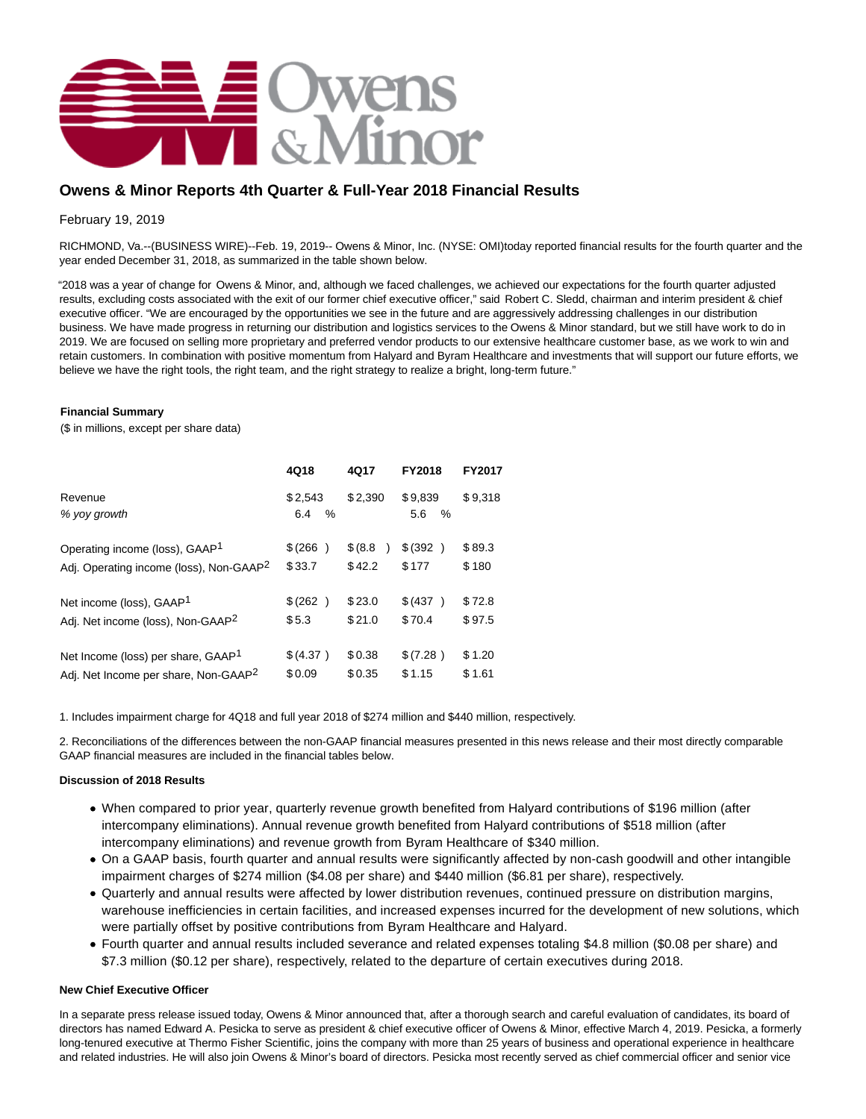

# **Owens & Minor Reports 4th Quarter & Full-Year 2018 Financial Results**

February 19, 2019

RICHMOND, Va.--(BUSINESS WIRE)--Feb. 19, 2019-- Owens & Minor, Inc. (NYSE: OMI)today reported financial results for the fourth quarter and the year ended December 31, 2018, as summarized in the table shown below.

"2018 was a year of change for Owens & Minor, and, although we faced challenges, we achieved our expectations for the fourth quarter adjusted results, excluding costs associated with the exit of our former chief executive officer," said Robert C. Sledd, chairman and interim president & chief executive officer. "We are encouraged by the opportunities we see in the future and are aggressively addressing challenges in our distribution business. We have made progress in returning our distribution and logistics services to the Owens & Minor standard, but we still have work to do in 2019. We are focused on selling more proprietary and preferred vendor products to our extensive healthcare customer base, as we work to win and retain customers. In combination with positive momentum from Halyard and Byram Healthcare and investments that will support our future efforts, we believe we have the right tools, the right team, and the right strategy to realize a bright, long-term future."

### **Financial Summary**

(\$ in millions, except per share data)

|                                                     | 4Q18                | 4Q17     | FY2018                 | <b>FY2017</b> |
|-----------------------------------------------------|---------------------|----------|------------------------|---------------|
| Revenue<br>% yoy growth                             | \$2,543<br>6.4<br>% | \$2.390  | \$9.839<br>$\%$<br>5.6 | \$9.318       |
| Operating income (loss), GAAP <sup>1</sup>          | \$(266)             | \$ (8.8) | \$ (392)               | \$89.3        |
| Adj. Operating income (loss), Non-GAAP <sup>2</sup> | \$33.7              | \$42.2   | \$177                  | \$180         |
| Net income (loss), GAAP <sup>1</sup>                | \$ (262)            | \$23.0   | \$ (437)               | \$72.8        |
| Adj. Net income (loss), Non-GAAP <sup>2</sup>       | \$5.3               | \$21.0   | \$70.4                 | \$97.5        |
| Net Income (loss) per share, GAAP <sup>1</sup>      | \$ (4.37)           | \$0.38   | \$(7.28)               | \$1.20        |
| Adj. Net Income per share, Non-GAAP <sup>2</sup>    | \$0.09              | \$0.35   | \$1.15                 | \$1.61        |

1. Includes impairment charge for 4Q18 and full year 2018 of \$274 million and \$440 million, respectively.

2. Reconciliations of the differences between the non-GAAP financial measures presented in this news release and their most directly comparable GAAP financial measures are included in the financial tables below.

### **Discussion of 2018 Results**

- When compared to prior year, quarterly revenue growth benefited from Halyard contributions of \$196 million (after intercompany eliminations). Annual revenue growth benefited from Halyard contributions of \$518 million (after intercompany eliminations) and revenue growth from Byram Healthcare of \$340 million.
- On a GAAP basis, fourth quarter and annual results were significantly affected by non-cash goodwill and other intangible impairment charges of \$274 million (\$4.08 per share) and \$440 million (\$6.81 per share), respectively.
- Quarterly and annual results were affected by lower distribution revenues, continued pressure on distribution margins, warehouse inefficiencies in certain facilities, and increased expenses incurred for the development of new solutions, which were partially offset by positive contributions from Byram Healthcare and Halyard.
- Fourth quarter and annual results included severance and related expenses totaling \$4.8 million (\$0.08 per share) and \$7.3 million (\$0.12 per share), respectively, related to the departure of certain executives during 2018.

### **New Chief Executive Officer**

In a separate press release issued today, Owens & Minor announced that, after a thorough search and careful evaluation of candidates, its board of directors has named Edward A. Pesicka to serve as president & chief executive officer of Owens & Minor, effective March 4, 2019. Pesicka, a formerly long-tenured executive at Thermo Fisher Scientific, joins the company with more than 25 years of business and operational experience in healthcare and related industries. He will also join Owens & Minor's board of directors. Pesicka most recently served as chief commercial officer and senior vice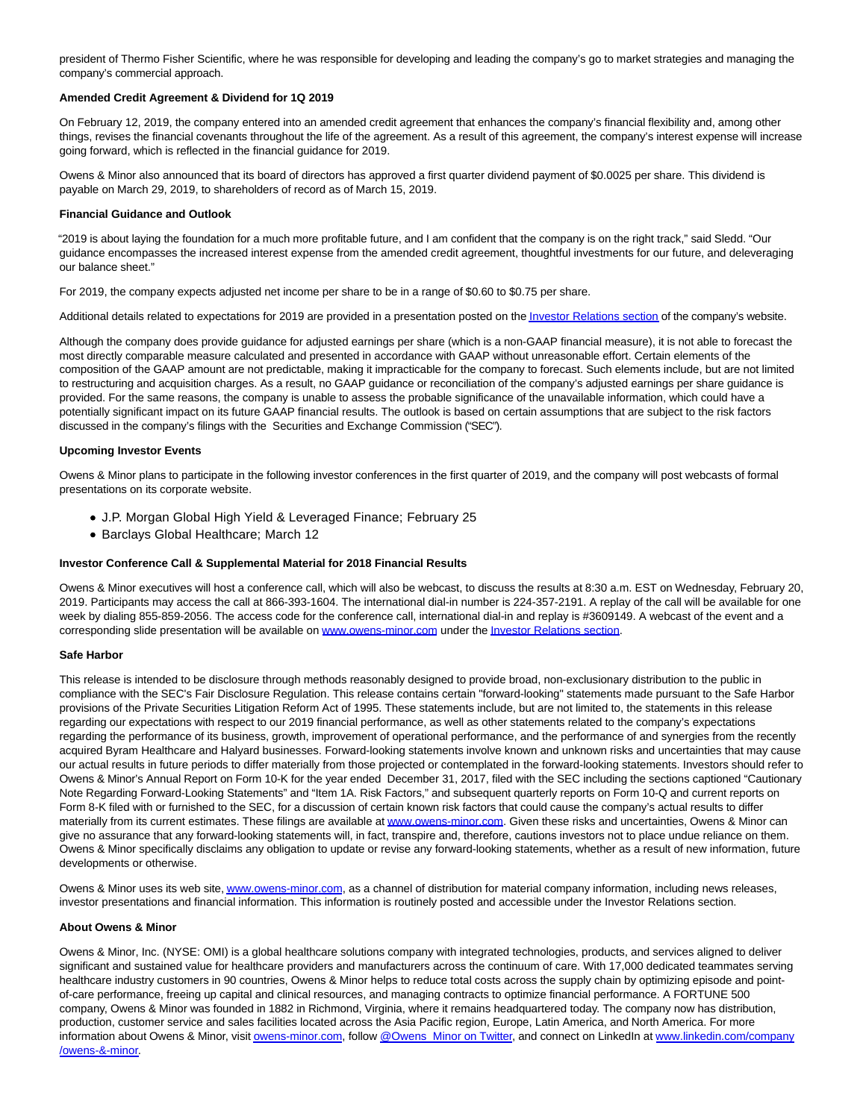president of Thermo Fisher Scientific, where he was responsible for developing and leading the company's go to market strategies and managing the company's commercial approach.

### **Amended Credit Agreement & Dividend for 1Q 2019**

On February 12, 2019, the company entered into an amended credit agreement that enhances the company's financial flexibility and, among other things, revises the financial covenants throughout the life of the agreement. As a result of this agreement, the company's interest expense will increase going forward, which is reflected in the financial guidance for 2019.

Owens & Minor also announced that its board of directors has approved a first quarter dividend payment of \$0.0025 per share. This dividend is payable on March 29, 2019, to shareholders of record as of March 15, 2019.

#### **Financial Guidance and Outlook**

"2019 is about laying the foundation for a much more profitable future, and I am confident that the company is on the right track," said Sledd. "Our guidance encompasses the increased interest expense from the amended credit agreement, thoughtful investments for our future, and deleveraging our balance sheet."

For 2019, the company expects adjusted net income per share to be in a range of \$0.60 to \$0.75 per share.

Additional details related to expectations for 2019 are provided in a presentation posted on th[e Investor Relations section o](https://cts.businesswire.com/ct/CT?id=smartlink&url=http%3A%2F%2Finvestors.owens-minor.com%2Fevents-presentations&esheet=51942996&newsitemid=20190219006072&lan=en-US&anchor=Investor+Relations+section&index=1&md5=74fe8272f6b0013e0b86679904d50c63)f the company's website.

Although the company does provide guidance for adjusted earnings per share (which is a non-GAAP financial measure), it is not able to forecast the most directly comparable measure calculated and presented in accordance with GAAP without unreasonable effort. Certain elements of the composition of the GAAP amount are not predictable, making it impracticable for the company to forecast. Such elements include, but are not limited to restructuring and acquisition charges. As a result, no GAAP guidance or reconciliation of the company's adjusted earnings per share guidance is provided. For the same reasons, the company is unable to assess the probable significance of the unavailable information, which could have a potentially significant impact on its future GAAP financial results. The outlook is based on certain assumptions that are subject to the risk factors discussed in the company's filings with the Securities and Exchange Commission ("SEC").

### **Upcoming Investor Events**

Owens & Minor plans to participate in the following investor conferences in the first quarter of 2019, and the company will post webcasts of formal presentations on its corporate website.

- J.P. Morgan Global High Yield & Leveraged Finance; February 25
- Barclays Global Healthcare; March 12

#### **Investor Conference Call & Supplemental Material for 2018 Financial Results**

Owens & Minor executives will host a conference call, which will also be webcast, to discuss the results at 8:30 a.m. EST on Wednesday, February 20, 2019. Participants may access the call at 866-393-1604. The international dial-in number is 224-357-2191. A replay of the call will be available for one week by dialing 855-859-2056. The access code for the conference call, international dial-in and replay is #3609149. A webcast of the event and a corresponding slide presentation will be available on [www.owens-minor.com u](https://cts.businesswire.com/ct/CT?id=smartlink&url=http%3A%2F%2Fwww.owens-minor.com&esheet=51942996&newsitemid=20190219006072&lan=en-US&anchor=www.owens-minor.com&index=2&md5=079195f2a465cc6200bed87fd5f87d6b)nder th[e Investor Relations section.](https://cts.businesswire.com/ct/CT?id=smartlink&url=http%3A%2F%2Finvestors.owens-minor.com%2Fevents.cfm&esheet=51942996&newsitemid=20190219006072&lan=en-US&anchor=Investor+Relations+section&index=3&md5=0011fa35e4c52d8be46fbe27b6ef0d85)

#### **Safe Harbor**

This release is intended to be disclosure through methods reasonably designed to provide broad, non-exclusionary distribution to the public in compliance with the SEC's Fair Disclosure Regulation. This release contains certain "forward-looking" statements made pursuant to the Safe Harbor provisions of the Private Securities Litigation Reform Act of 1995. These statements include, but are not limited to, the statements in this release regarding our expectations with respect to our 2019 financial performance, as well as other statements related to the company's expectations regarding the performance of its business, growth, improvement of operational performance, and the performance of and synergies from the recently acquired Byram Healthcare and Halyard businesses. Forward-looking statements involve known and unknown risks and uncertainties that may cause our actual results in future periods to differ materially from those projected or contemplated in the forward-looking statements. Investors should refer to Owens & Minor's Annual Report on Form 10-K for the year ended December 31, 2017, filed with the SEC including the sections captioned "Cautionary Note Regarding Forward-Looking Statements" and "Item 1A. Risk Factors," and subsequent quarterly reports on Form 10-Q and current reports on Form 8-K filed with or furnished to the SEC, for a discussion of certain known risk factors that could cause the company's actual results to differ materially from its current estimates. These filings are available a[t www.owens-minor.com.](https://cts.businesswire.com/ct/CT?id=smartlink&url=http%3A%2F%2Fwww.owens-minor.com&esheet=51942996&newsitemid=20190219006072&lan=en-US&anchor=www.owens-minor.com&index=4&md5=04febe408d879c3a0b93ad0f253a464c) Given these risks and uncertainties, Owens & Minor can give no assurance that any forward-looking statements will, in fact, transpire and, therefore, cautions investors not to place undue reliance on them. Owens & Minor specifically disclaims any obligation to update or revise any forward-looking statements, whether as a result of new information, future developments or otherwise.

Owens & Minor uses its web site[, www.owens-minor.com,](https://cts.businesswire.com/ct/CT?id=smartlink&url=http%3A%2F%2Fwww.owens-minor.com&esheet=51942996&newsitemid=20190219006072&lan=en-US&anchor=www.owens-minor.com&index=5&md5=8ce84e12908c00837f6b241287bb1d36) as a channel of distribution for material company information, including news releases, investor presentations and financial information. This information is routinely posted and accessible under the Investor Relations section.

#### **About Owens & Minor**

Owens & Minor, Inc. (NYSE: OMI) is a global healthcare solutions company with integrated technologies, products, and services aligned to deliver significant and sustained value for healthcare providers and manufacturers across the continuum of care. With 17,000 dedicated teammates serving healthcare industry customers in 90 countries, Owens & Minor helps to reduce total costs across the supply chain by optimizing episode and pointof-care performance, freeing up capital and clinical resources, and managing contracts to optimize financial performance. A FORTUNE 500 company, Owens & Minor was founded in 1882 in Richmond, Virginia, where it remains headquartered today. The company now has distribution, production, customer service and sales facilities located across the Asia Pacific region, Europe, Latin America, and North America. For more information about Owens & Minor, visi[t owens-minor.com,](https://cts.businesswire.com/ct/CT?id=smartlink&url=http%3A%2F%2Fwww.owens-minor.com&esheet=51942996&newsitemid=20190219006072&lan=en-US&anchor=owens-minor.com&index=6&md5=3d547c31e337f23365e8eb81ed084962) follow [@Owens\\_Minor on Twitter,](https://cts.businesswire.com/ct/CT?id=smartlink&url=https%3A%2F%2Ftwitter.com%2FOwens_Minor&esheet=51942996&newsitemid=20190219006072&lan=en-US&anchor=%40Owens_Minor+on+Twitter&index=7&md5=bfbda1a50382c084ea89286e75b4e657) and connect on LinkedIn at [www.linkedin.com/company](https://cts.businesswire.com/ct/CT?id=smartlink&url=http%3A%2F%2Fwww.linkedin.com%2Fcompany%2Fowens-%26-minor&esheet=51942996&newsitemid=20190219006072&lan=en-US&anchor=www.linkedin.com%2Fcompany%2Fowens-%26-minor&index=8&md5=eb238a2dc9075964684b22ca06b239ad) /owens-&-minor.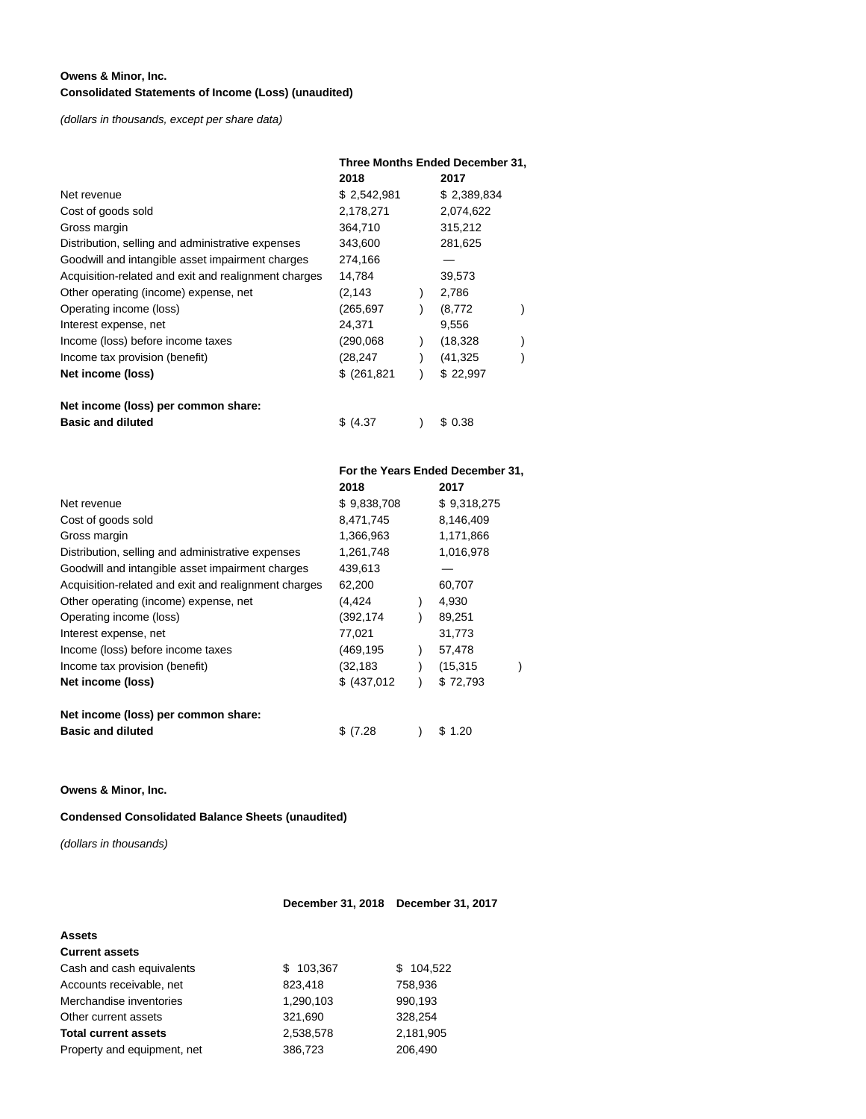### **Owens & Minor, Inc. Consolidated Statements of Income (Loss) (unaudited)**

(dollars in thousands, except per share data)

|                                                      | Three Months Ended December 31, |  |             |  |  |
|------------------------------------------------------|---------------------------------|--|-------------|--|--|
|                                                      | 2018                            |  | 2017        |  |  |
| Net revenue                                          | \$2,542,981                     |  | \$2,389,834 |  |  |
| Cost of goods sold                                   | 2,178,271                       |  | 2,074,622   |  |  |
| Gross margin                                         | 364,710                         |  | 315,212     |  |  |
| Distribution, selling and administrative expenses    | 343,600                         |  | 281,625     |  |  |
| Goodwill and intangible asset impairment charges     | 274,166                         |  |             |  |  |
| Acquisition-related and exit and realignment charges | 14,784                          |  | 39,573      |  |  |
| Other operating (income) expense, net                | (2,143                          |  | 2,786       |  |  |
| Operating income (loss)                              | (265, 697)                      |  | (8,772)     |  |  |
| Interest expense, net                                | 24,371                          |  | 9,556       |  |  |
| Income (loss) before income taxes                    | (290,068)                       |  | (18, 328)   |  |  |
| Income tax provision (benefit)                       | (28,247                         |  | (41, 325)   |  |  |
| Net income (loss)                                    | \$ (261, 821)                   |  | \$22,997    |  |  |
| Net income (loss) per common share:                  |                                 |  |             |  |  |
| <b>Basic and diluted</b>                             | \$(4.37)                        |  | \$ 0.38     |  |  |

|                                                      | For the Years Ended December 31, |  |             |  |  |
|------------------------------------------------------|----------------------------------|--|-------------|--|--|
|                                                      | 2018                             |  | 2017        |  |  |
| Net revenue                                          | \$9,838,708                      |  | \$9,318,275 |  |  |
| Cost of goods sold                                   | 8,471,745                        |  | 8,146,409   |  |  |
| Gross margin                                         | 1,366,963                        |  | 1,171,866   |  |  |
| Distribution, selling and administrative expenses    | 1,261,748                        |  | 1,016,978   |  |  |
| Goodwill and intangible asset impairment charges     | 439,613                          |  |             |  |  |
| Acquisition-related and exit and realignment charges | 62,200                           |  | 60,707      |  |  |
| Other operating (income) expense, net                | (4,424                           |  | 4,930       |  |  |
| Operating income (loss)                              | (392,174                         |  | 89,251      |  |  |
| Interest expense, net                                | 77,021                           |  | 31,773      |  |  |
| Income (loss) before income taxes                    | (469,195                         |  | 57,478      |  |  |
| Income tax provision (benefit)                       | (32, 183)                        |  | (15, 315)   |  |  |
| Net income (loss)                                    | \$ (437,012)                     |  | \$72,793    |  |  |
| Net income (loss) per common share:                  |                                  |  |             |  |  |
| <b>Basic and diluted</b>                             | \$(7.28)                         |  | 1.20<br>S.  |  |  |

**Owens & Minor, Inc.**

**Condensed Consolidated Balance Sheets (unaudited)**

(dollars in thousands)

# **December 31, 2018 December 31, 2017**

| <b>Assets</b>               |           |           |
|-----------------------------|-----------|-----------|
| <b>Current assets</b>       |           |           |
| Cash and cash equivalents   | \$103,367 | \$104,522 |
| Accounts receivable, net    | 823,418   | 758,936   |
| Merchandise inventories     | 1,290,103 | 990,193   |
| Other current assets        | 321.690   | 328.254   |
| <b>Total current assets</b> | 2.538.578 | 2,181,905 |
| Property and equipment, net | 386,723   | 206.490   |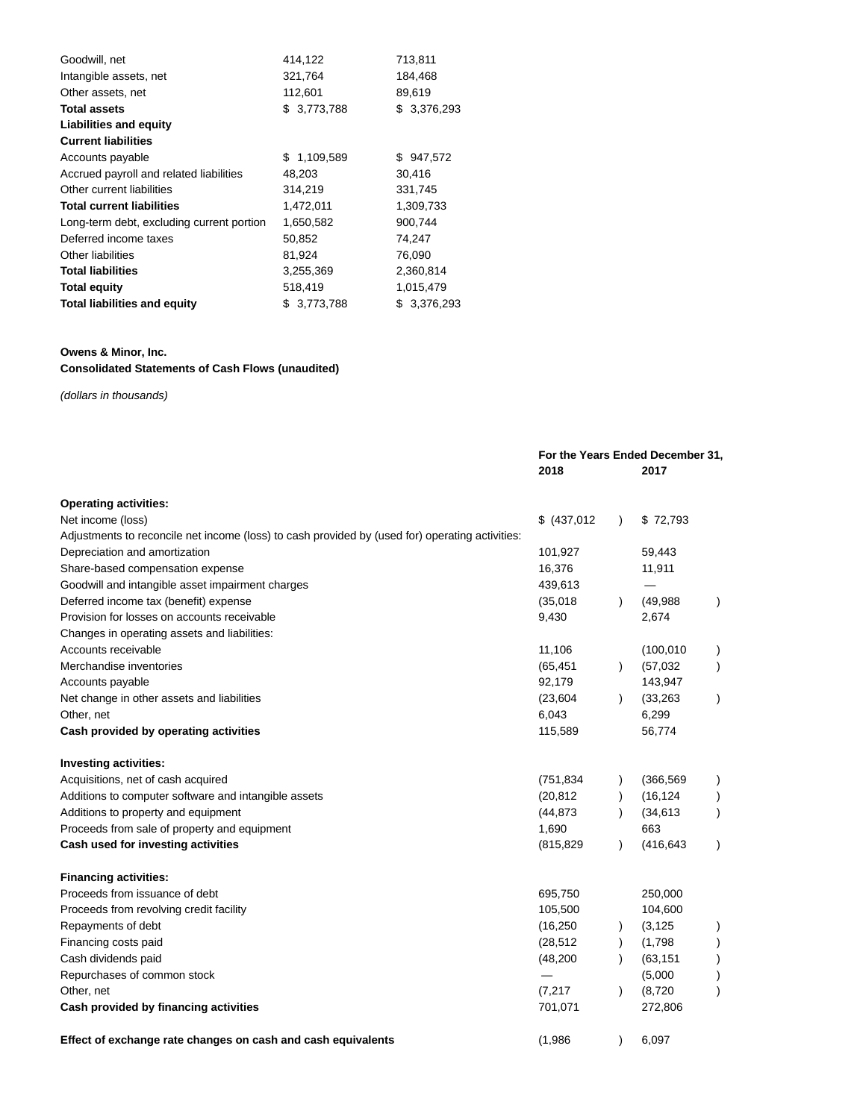| Goodwill, net                             | 414,122     | 713,811     |
|-------------------------------------------|-------------|-------------|
| Intangible assets, net                    | 321,764     | 184,468     |
| Other assets, net                         | 112,601     | 89,619      |
| <b>Total assets</b>                       | \$3,773,788 | \$3,376,293 |
| <b>Liabilities and equity</b>             |             |             |
| <b>Current liabilities</b>                |             |             |
| Accounts payable                          | \$1,109,589 | \$947,572   |
| Accrued payroll and related liabilities   | 48,203      | 30,416      |
| Other current liabilities                 | 314,219     | 331,745     |
| <b>Total current liabilities</b>          | 1,472,011   | 1,309,733   |
| Long-term debt, excluding current portion | 1,650,582   | 900,744     |
| Deferred income taxes                     | 50,852      | 74,247      |
| Other liabilities                         | 81,924      | 76,090      |
| <b>Total liabilities</b>                  | 3,255,369   | 2,360,814   |
| <b>Total equity</b>                       | 518,419     | 1,015,479   |
| <b>Total liabilities and equity</b>       | \$3,773,788 | \$3,376,293 |

# **Owens & Minor, Inc.**

# **Consolidated Statements of Cash Flows (unaudited)**

(dollars in thousands)

|                                                                                                 |              | For the Years Ended December 31,<br>2018 |            | 2017      |  |
|-------------------------------------------------------------------------------------------------|--------------|------------------------------------------|------------|-----------|--|
| <b>Operating activities:</b>                                                                    |              |                                          |            |           |  |
| Net income (loss)                                                                               | \$ (437,012) | $\lambda$                                | \$72,793   |           |  |
| Adjustments to reconcile net income (loss) to cash provided by (used for) operating activities: |              |                                          |            |           |  |
| Depreciation and amortization                                                                   | 101,927      |                                          | 59,443     |           |  |
| Share-based compensation expense                                                                | 16,376       |                                          | 11,911     |           |  |
| Goodwill and intangible asset impairment charges                                                | 439,613      |                                          |            |           |  |
| Deferred income tax (benefit) expense                                                           | (35,018)     | $\lambda$                                | (49,988)   | $\lambda$ |  |
| Provision for losses on accounts receivable                                                     | 9,430        |                                          | 2,674      |           |  |
| Changes in operating assets and liabilities:                                                    |              |                                          |            |           |  |
| Accounts receivable                                                                             | 11,106       |                                          | (100, 010) | $\lambda$ |  |
| Merchandise inventories                                                                         | (65, 451)    | $\lambda$                                | (57,032)   | $\lambda$ |  |
| Accounts payable                                                                                | 92,179       |                                          | 143,947    |           |  |
| Net change in other assets and liabilities                                                      | (23, 604)    | $\lambda$                                | (33, 263)  | $\lambda$ |  |
| Other, net                                                                                      | 6,043        |                                          | 6,299      |           |  |
| Cash provided by operating activities                                                           | 115,589      |                                          | 56,774     |           |  |
| <b>Investing activities:</b>                                                                    |              |                                          |            |           |  |
| Acquisitions, net of cash acquired                                                              | (751, 834)   | $\lambda$                                | (366, 569) | $\lambda$ |  |
| Additions to computer software and intangible assets                                            | (20, 812)    | $\lambda$                                | (16, 124)  | $\lambda$ |  |
| Additions to property and equipment                                                             | (44, 873)    |                                          | (34, 613)  | $\big)$   |  |
| Proceeds from sale of property and equipment                                                    | 1,690        |                                          | 663        |           |  |
| Cash used for investing activities                                                              | (815, 829)   |                                          | (416, 643) | $\lambda$ |  |
| <b>Financing activities:</b>                                                                    |              |                                          |            |           |  |
| Proceeds from issuance of debt                                                                  | 695,750      |                                          | 250,000    |           |  |
| Proceeds from revolving credit facility                                                         | 105,500      |                                          | 104,600    |           |  |
| Repayments of debt                                                                              | (16, 250)    |                                          | (3, 125)   |           |  |
| Financing costs paid                                                                            | (28, 512)    | $\lambda$                                | (1,798)    |           |  |
| Cash dividends paid                                                                             | (48, 200)    |                                          | (63, 151)  |           |  |
| Repurchases of common stock                                                                     |              |                                          | (5,000)    |           |  |
| Other, net                                                                                      | (7, 217)     |                                          | (8, 720)   |           |  |
| Cash provided by financing activities                                                           | 701,071      |                                          | 272,806    |           |  |
| Effect of exchange rate changes on cash and cash equivalents                                    | (1,986)      | $\lambda$                                | 6,097      |           |  |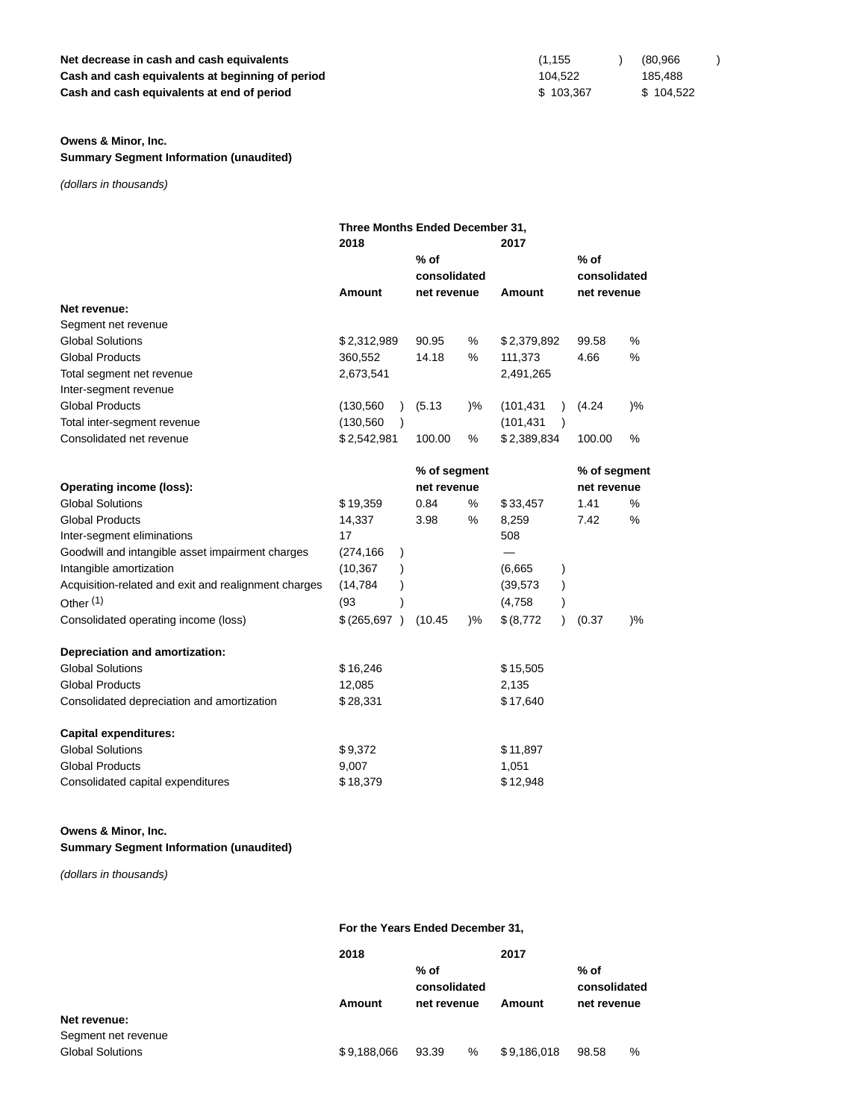# **Net decrease in cash and cash equivalents Cash and cash equivalents at beginning of period Cash and cash equivalents at end of period**

### **Owens & Minor, Inc.**

**Summary Segment Information (unaudited)**

(dollars in thousands)

|                             | Three Months Ended December 31, |                        |                       |             |                                       |       |  |  |
|-----------------------------|---------------------------------|------------------------|-----------------------|-------------|---------------------------------------|-------|--|--|
|                             | 2018                            |                        |                       | 2017        |                                       |       |  |  |
|                             |                                 | $%$ of<br>consolidated |                       |             | $%$ of<br>consolidated<br>net revenue |       |  |  |
|                             | Amount                          |                        | Amount<br>net revenue |             |                                       |       |  |  |
| Net revenue:                |                                 |                        |                       |             |                                       |       |  |  |
| Segment net revenue         |                                 |                        |                       |             |                                       |       |  |  |
| <b>Global Solutions</b>     | \$2,312,989                     | 90.95                  | %                     | \$2,379,892 | 99.58                                 | %     |  |  |
| <b>Global Products</b>      | 360,552                         | 14.18                  | %                     | 111,373     | 4.66                                  | %     |  |  |
| Total segment net revenue   | 2,673,541                       |                        |                       | 2,491,265   |                                       |       |  |  |
| Inter-segment revenue       |                                 |                        |                       |             |                                       |       |  |  |
| <b>Global Products</b>      | (130, 560)                      | (5.13)                 | )%                    | (101, 431)  | (4.24)                                | $)\%$ |  |  |
| Total inter-segment revenue | (130, 560)                      |                        |                       | (101, 431)  |                                       |       |  |  |
| Consolidated net revenue    | \$2,542,981                     | 100.00                 | $\%$                  | \$2,389,834 | 100.00                                | %     |  |  |

|                                                      |             | % of segment |               |             | % of segment |             |  |
|------------------------------------------------------|-------------|--------------|---------------|-------------|--------------|-------------|--|
| Operating income (loss):                             |             | net revenue  |               |             |              | net revenue |  |
| <b>Global Solutions</b>                              | \$19,359    | 0.84         | ℅             | \$33,457    | 1.41         | %           |  |
| <b>Global Products</b>                               | 14,337      | 3.98         | %             | 8,259       | 7.42         | %           |  |
| Inter-segment eliminations                           | 17          |              |               | 508         |              |             |  |
| Goodwill and intangible asset impairment charges     | (274,166    |              |               |             |              |             |  |
| Intangible amortization                              | (10, 367)   |              |               | (6,665)     |              |             |  |
| Acquisition-related and exit and realignment charges | (14, 784)   |              |               | (39,573     |              |             |  |
| Other $(1)$                                          | (93)        |              |               | (4,758)     |              |             |  |
| Consolidated operating income (loss)                 | \$(265,697) | (10.45)      | $\frac{9}{6}$ | \$ (8, 772) | (0.37)       | $)\%$       |  |
| Depreciation and amortization:                       |             |              |               |             |              |             |  |
| <b>Global Solutions</b>                              | \$16,246    |              |               | \$15,505    |              |             |  |
| <b>Global Products</b>                               | 12,085      |              |               | 2,135       |              |             |  |
| Consolidated depreciation and amortization           | \$28,331    |              |               | \$17,640    |              |             |  |
| <b>Capital expenditures:</b>                         |             |              |               |             |              |             |  |
| <b>Global Solutions</b>                              | \$9,372     |              |               | \$11,897    |              |             |  |
| <b>Global Products</b>                               | 9,007       |              |               | 1,051       |              |             |  |
| Consolidated capital expenditures                    | \$18,379    |              |               | \$12,948    |              |             |  |

# **Owens & Minor, Inc.**

**Summary Segment Information (unaudited)**

(dollars in thousands)

# **For the Years Ended December 31,**

|                                         | 2018        |                                       |      | 2017        |                                       |   |
|-----------------------------------------|-------------|---------------------------------------|------|-------------|---------------------------------------|---|
| Amount                                  |             | $%$ of<br>consolidated<br>net revenue |      | Amount      | $%$ of<br>consolidated<br>net revenue |   |
| Net revenue:                            |             |                                       |      |             |                                       |   |
| Segment net revenue<br>Global Solutions | \$9,188,066 | 93.39                                 | $\%$ | \$9,186,018 | 98.58                                 | % |

| (1, 155)  | (80,966   |  |
|-----------|-----------|--|
| 104,522   | 185.488   |  |
| \$103,367 | \$104,522 |  |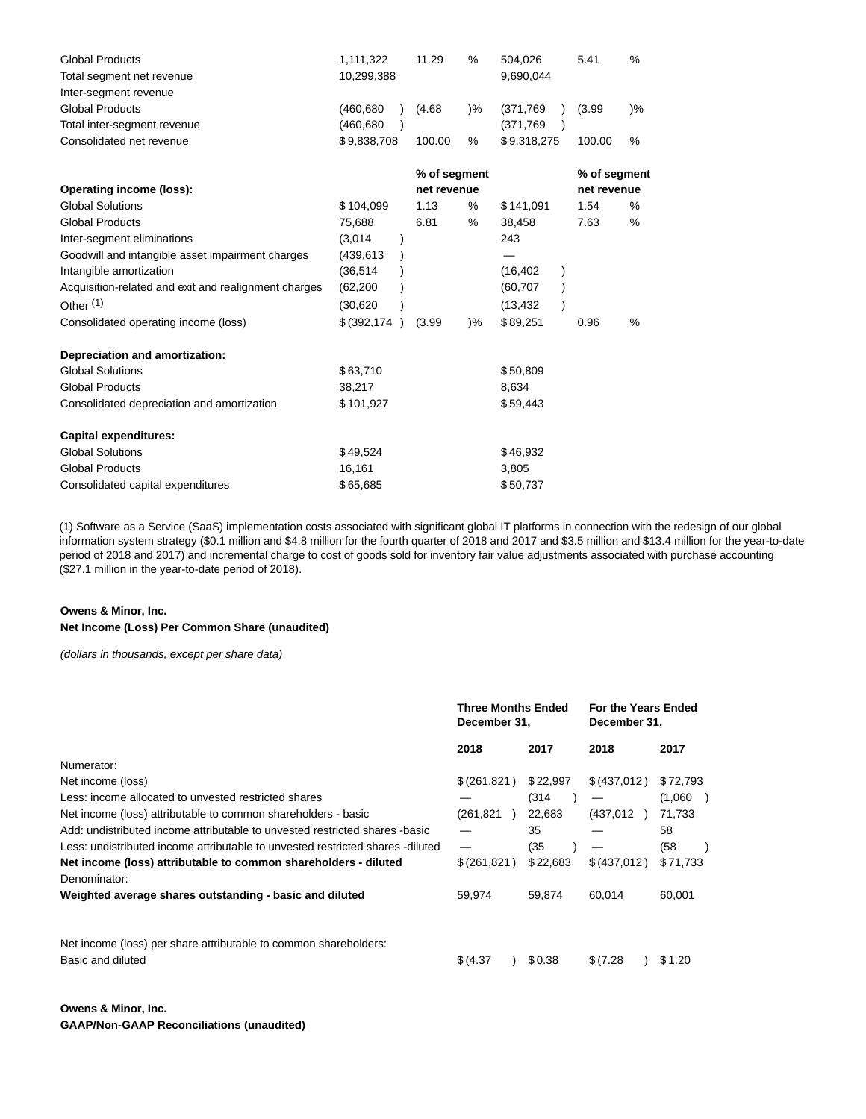| <b>Global Products</b>                               | 1,111,322                  | 11.29        | %             | 504,026     | 5.41         | %             |  |
|------------------------------------------------------|----------------------------|--------------|---------------|-------------|--------------|---------------|--|
| Total segment net revenue                            | 10,299,388                 |              |               | 9,690,044   |              |               |  |
| Inter-segment revenue                                |                            |              |               |             |              |               |  |
| <b>Global Products</b>                               | (460,680)                  | (4.68)       | $\frac{9}{6}$ | (371,769)   | (3.99)       | $\frac{9}{6}$ |  |
| Total inter-segment revenue                          | (460,680                   |              |               | (371,769)   |              |               |  |
| Consolidated net revenue                             | \$9,838,708                | 100.00       | %             | \$9,318,275 | 100.00       | %             |  |
|                                                      |                            | % of segment |               |             | % of segment |               |  |
| Operating income (loss):                             |                            | net revenue  |               |             | net revenue  |               |  |
| <b>Global Solutions</b>                              | \$104,099                  | 1.13         | %             | \$141,091   | 1.54         | %             |  |
| <b>Global Products</b>                               | 75,688                     | 6.81         | %             | 38,458      | 7.63         | %             |  |
| Inter-segment eliminations                           | (3,014)                    |              |               | 243         |              |               |  |
| Goodwill and intangible asset impairment charges     | (439,613                   |              |               |             |              |               |  |
| Intangible amortization                              | (36, 514)                  |              |               | (16, 402)   |              |               |  |
| Acquisition-related and exit and realignment charges | (62, 200)                  |              |               | (60, 707)   |              |               |  |
| Other <sup>(1)</sup>                                 | (30, 620)                  |              |               | (13, 432)   |              |               |  |
| Consolidated operating income (loss)                 | \$ (392, 174)<br>$\lambda$ | (3.99)       | $\frac{9}{6}$ | \$89,251    | 0.96         | %             |  |
| Depreciation and amortization:                       |                            |              |               |             |              |               |  |
| <b>Global Solutions</b>                              | \$63,710                   |              |               | \$50,809    |              |               |  |
| <b>Global Products</b>                               | 38,217                     |              |               | 8,634       |              |               |  |
| Consolidated depreciation and amortization           | \$101,927                  |              |               | \$59,443    |              |               |  |
| <b>Capital expenditures:</b>                         |                            |              |               |             |              |               |  |
| <b>Global Solutions</b>                              | \$49,524                   |              |               | \$46,932    |              |               |  |
| <b>Global Products</b>                               | 16,161                     |              |               | 3,805       |              |               |  |
| Consolidated capital expenditures                    | \$65,685                   |              |               | \$50,737    |              |               |  |

(1) Software as a Service (SaaS) implementation costs associated with significant global IT platforms in connection with the redesign of our global information system strategy (\$0.1 million and \$4.8 million for the fourth quarter of 2018 and 2017 and \$3.5 million and \$13.4 million for the year-to-date period of 2018 and 2017) and incremental charge to cost of goods sold for inventory fair value adjustments associated with purchase accounting (\$27.1 million in the year-to-date period of 2018).

### **Owens & Minor, Inc. Net Income (Loss) Per Common Share (unaudited)**

(dollars in thousands, except per share data)

|                                                                                | <b>Three Months Ended</b><br>December 31, |          | For the Years Ended<br>December 31, |          |
|--------------------------------------------------------------------------------|-------------------------------------------|----------|-------------------------------------|----------|
|                                                                                | 2018                                      | 2017     | 2018                                | 2017     |
| Numerator:                                                                     |                                           |          |                                     |          |
| Net income (loss)                                                              | \$(261,821)                               | \$22,997 | \$(437,012)                         | \$72,793 |
| Less: income allocated to unvested restricted shares                           |                                           | (314     |                                     | (1,060)  |
| Net income (loss) attributable to common shareholders - basic                  | (261,821<br>$\rightarrow$                 | 22,683   | (437, 012)                          | 71,733   |
| Add: undistributed income attributable to unvested restricted shares -basic    |                                           | 35       |                                     | 58       |
| Less: undistributed income attributable to unvested restricted shares -diluted | —                                         | (35      |                                     | (58      |
| Net income (loss) attributable to common shareholders - diluted                | \$ (261, 821)                             | \$22,683 | \$ (437,012)                        | \$71,733 |
| Denominator:                                                                   |                                           |          |                                     |          |
| Weighted average shares outstanding - basic and diluted                        | 59,974                                    | 59.874   | 60.014                              | 60,001   |
|                                                                                |                                           |          |                                     |          |
| Net income (loss) per share attributable to common shareholders:               |                                           |          |                                     |          |
| Basic and diluted                                                              | \$(4.37)                                  | \$0.38   | \$(7.28)                            | \$1.20   |
|                                                                                |                                           |          |                                     |          |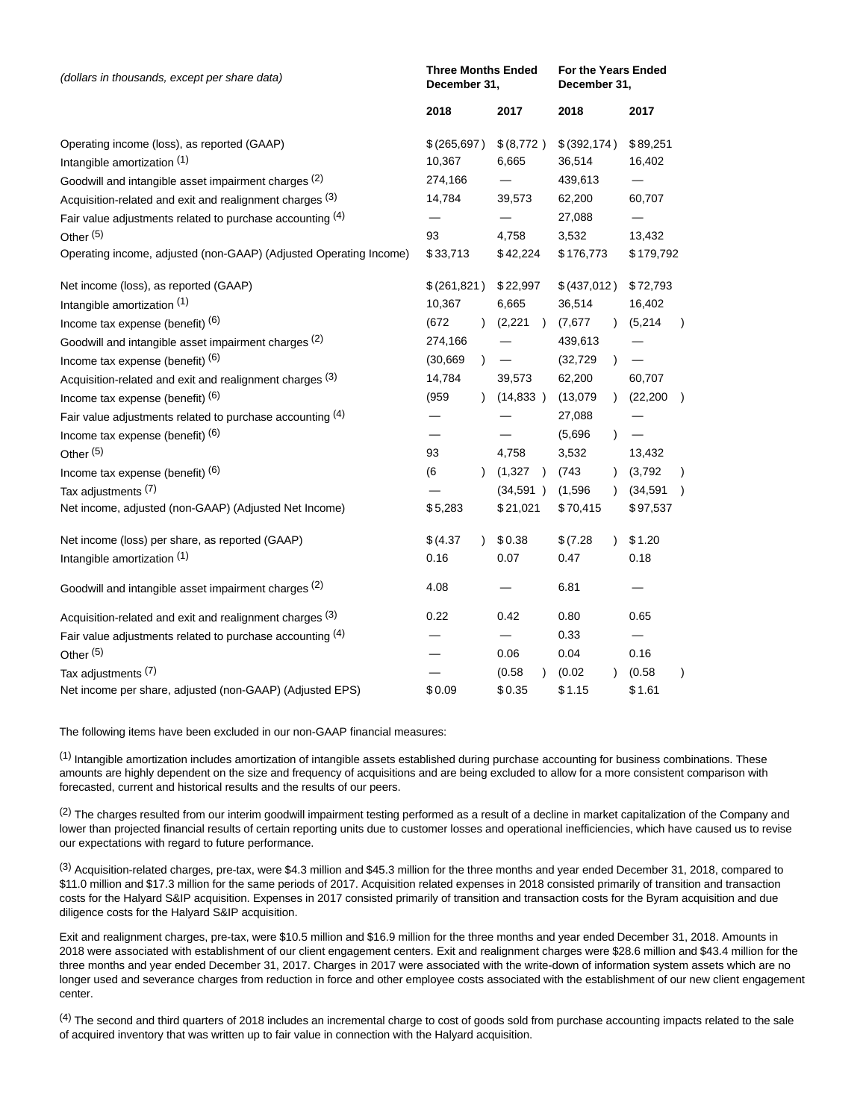| (dollars in thousands, except per share data)                            | December 31,             | <b>Three Months Ended</b> | For the Years Ended<br>December 31, |                 |               |           |  |
|--------------------------------------------------------------------------|--------------------------|---------------------------|-------------------------------------|-----------------|---------------|-----------|--|
|                                                                          | 2018                     |                           | 2017                                | 2018            |               | 2017      |  |
| Operating income (loss), as reported (GAAP)                              | \$(265,697)              |                           | \$(8,772)                           | \$ (392, 174)   |               | \$89,251  |  |
| Intangible amortization (1)                                              | 10,367                   |                           | 6,665                               | 36,514          |               | 16,402    |  |
| Goodwill and intangible asset impairment charges (2)                     | 274,166                  |                           | —                                   | 439,613         |               | $\equiv$  |  |
| Acquisition-related and exit and realignment charges (3)                 | 14,784                   |                           | 39,573                              | 62,200          |               | 60,707    |  |
| Fair value adjustments related to purchase accounting (4)<br>Other $(5)$ | 93                       |                           | 4,758                               | 27,088<br>3,532 |               | 13,432    |  |
| Operating income, adjusted (non-GAAP) (Adjusted Operating Income)        | \$33,713                 |                           | \$42,224                            | \$176,773       |               | \$179,792 |  |
| Net income (loss), as reported (GAAP)                                    | \$(261,821)              |                           | \$22,997                            | \$(437,012)     |               | \$72,793  |  |
| Intangible amortization (1)                                              | 10,367                   |                           | 6,665                               | 36,514          |               | 16,402    |  |
| Income tax expense (benefit) (6)                                         | (672)                    | $\mathcal{L}$             | (2,221)                             | (7,677)         | $\lambda$     | (5,214)   |  |
| Goodwill and intangible asset impairment charges (2)                     | 274,166                  |                           |                                     | 439,613         |               |           |  |
| Income tax expense (benefit) $(6)$                                       | (30, 669)                | $\lambda$                 |                                     | (32, 729)       | $\lambda$     | $\equiv$  |  |
| Acquisition-related and exit and realignment charges (3)                 | 14,784                   |                           | 39,573                              | 62,200          |               | 60,707    |  |
| Income tax expense (benefit) (6)                                         | (959)                    |                           | (14,833)                            | (13,079)        | $\mathcal{E}$ | (22, 200) |  |
| Fair value adjustments related to purchase accounting $(4)$              |                          |                           |                                     | 27,088          |               |           |  |
| Income tax expense (benefit) $(6)$                                       | $\overline{\phantom{0}}$ |                           |                                     | (5,696)         | $\mathcal{E}$ | $\equiv$  |  |
| Other <sup>(5)</sup>                                                     | 93                       |                           | 4,758                               | 3,532           |               | 13,432    |  |
| Income tax expense (benefit) (6)                                         | (6)                      | $\lambda$                 | (1,327)                             | (743)           |               | (3,792)   |  |
| Tax adjustments (7)                                                      |                          |                           | (34, 591)                           | (1,596)         | $\lambda$     | (34, 591) |  |
| Net income, adjusted (non-GAAP) (Adjusted Net Income)                    | \$5,283                  |                           | \$21,021                            | \$70,415        |               | \$97,537  |  |
| Net income (loss) per share, as reported (GAAP)                          | \$ (4.37)                | $\lambda$                 | \$0.38                              | \$(7.28)        |               | \$1.20    |  |
| Intangible amortization (1)                                              | 0.16                     |                           | 0.07                                | 0.47            |               | 0.18      |  |
| Goodwill and intangible asset impairment charges (2)                     | 4.08                     |                           |                                     | 6.81            |               |           |  |
| Acquisition-related and exit and realignment charges (3)                 | 0.22                     |                           | 0.42                                | 0.80            |               | 0.65      |  |
| Fair value adjustments related to purchase accounting (4)                |                          |                           |                                     | 0.33            |               | $=$       |  |
| Other <sup>(5)</sup>                                                     |                          |                           | 0.06                                | 0.04            |               | 0.16      |  |
| Tax adjustments (7)                                                      |                          |                           | (0.58)                              | (0.02)          |               | (0.58)    |  |
| Net income per share, adjusted (non-GAAP) (Adjusted EPS)                 | \$0.09                   |                           | \$0.35                              | \$1.15          |               | \$1.61    |  |

The following items have been excluded in our non-GAAP financial measures:

(1) Intangible amortization includes amortization of intangible assets established during purchase accounting for business combinations. These amounts are highly dependent on the size and frequency of acquisitions and are being excluded to allow for a more consistent comparison with forecasted, current and historical results and the results of our peers.

<sup>(2)</sup> The charges resulted from our interim goodwill impairment testing performed as a result of a decline in market capitalization of the Company and lower than projected financial results of certain reporting units due to customer losses and operational inefficiencies, which have caused us to revise our expectations with regard to future performance.

 $<sup>(3)</sup>$  Acquisition-related charges, pre-tax, were \$4.3 million and \$45.3 million for the three months and year ended December 31, 2018, compared to</sup> \$11.0 million and \$17.3 million for the same periods of 2017. Acquisition related expenses in 2018 consisted primarily of transition and transaction costs for the Halyard S&IP acquisition. Expenses in 2017 consisted primarily of transition and transaction costs for the Byram acquisition and due diligence costs for the Halyard S&IP acquisition.

Exit and realignment charges, pre-tax, were \$10.5 million and \$16.9 million for the three months and year ended December 31, 2018. Amounts in 2018 were associated with establishment of our client engagement centers. Exit and realignment charges were \$28.6 million and \$43.4 million for the three months and year ended December 31, 2017. Charges in 2017 were associated with the write-down of information system assets which are no longer used and severance charges from reduction in force and other employee costs associated with the establishment of our new client engagement center.

 $<sup>(4)</sup>$  The second and third quarters of 2018 includes an incremental charge to cost of goods sold from purchase accounting impacts related to the sale</sup> of acquired inventory that was written up to fair value in connection with the Halyard acquisition.